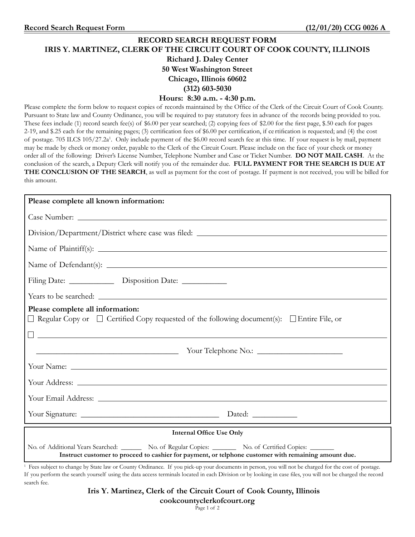# **RECORD SEARCH REQUEST FORM IRIS Y. MARTINEZ, CLERK OF THE CIRCUIT COURT OF COOK COUNTY, ILLINOIS Richard J. Daley Center 50 West Washington Street Chicago, Illinois 60602 (312) 603-5030 Hours: 8:30 a.m. - 4:30 p.m.** Please complete the form below to request copies of records maintained by the Office of the Clerk of the Circuit Court of Cook County.

Pursuant to State law and County Ordinance, you will be required to pay statutory fees in advance of the records being provided to you. These fees include (1) record search fee(s) of \$6.00 per year searched; (2) copying fees of \$2.00 for the first page, \$.50 each for pages 2-19, and \$.25 each for the remaining pages; (3) certification fees of \$6.00 per certification, if ce rtification is requested; and (4) the cost of postage. 705 ILCS 105/27.2a<sup>1</sup>. Only include payment of the \$6.00 record search fee at this time. If your request is by mail, payment may be made by check or money order, payable to the Clerk of the Circuit Court. Please include on the face of your check or money order all of the following: Driver's License Number, Telephone Number and Case or Ticket Number. **DO NOT MAIL CASH**. At the conclusion of the search, a Deputy Clerk will notify you of the remainder due. **FULL PAYMENT FOR THE SEARCH IS DUE AT THE CONCLUSION OF THE SEARCH**, as well as payment for the cost of postage. If payment is not received, you will be billed for this amount.

| Please complete all known information:                                                                                                                                                                                                                                     |
|----------------------------------------------------------------------------------------------------------------------------------------------------------------------------------------------------------------------------------------------------------------------------|
|                                                                                                                                                                                                                                                                            |
|                                                                                                                                                                                                                                                                            |
|                                                                                                                                                                                                                                                                            |
|                                                                                                                                                                                                                                                                            |
| Filing Date: ________________ Disposition Date: ____________                                                                                                                                                                                                               |
|                                                                                                                                                                                                                                                                            |
| Please complete all information:<br>$\Box$ Regular Copy or $\Box$ Certified Copy requested of the following document(s): $\Box$ Entire File, or<br><u> 1999 - Johann Harry Harry Harry Harry Harry Harry Harry Harry Harry Harry Harry Harry Harry Harry Harry Harry H</u> |
| Vour Telephone No.:                                                                                                                                                                                                                                                        |
|                                                                                                                                                                                                                                                                            |
|                                                                                                                                                                                                                                                                            |
| Your Email Address: Lawrence and South Address: 2007                                                                                                                                                                                                                       |
|                                                                                                                                                                                                                                                                            |
| <b>Internal Office Use Only</b>                                                                                                                                                                                                                                            |
| No. of Additional Years Searched: No. of Regular Copies: No. of Certified Copies: ______<br>Instruct customer to proceed to cashier for payment, or telphone customer with remaining amount due.                                                                           |
| <sup>1</sup> Fees subject to change by State law or County Ordinance. If you pick-up your documents in person, you will not be charged for the cost of postage.                                                                                                            |

 Fees subject to change by State law or County Ordinance. If you pick-up your documents in person, you will not be charged for the cost of postage. If you perform the search yourself using the data access terminals located in each Division or by looking in case files, you will not be charged the record search fee.

**Iris Y. Martinez, Clerk of the Circuit Court of Cook County, Illinois**

**cookcountyclerkofcourt.org**